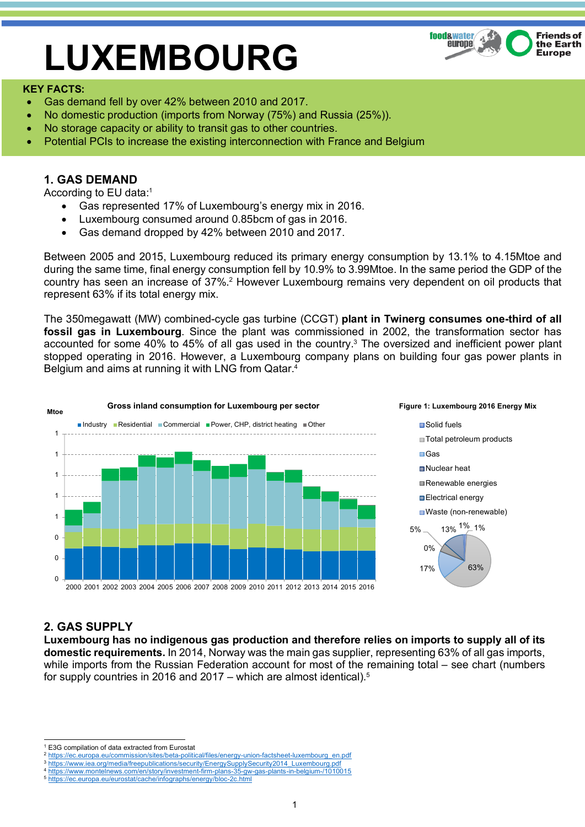# **LUXEMBOURG**



#### **KEY FACTS:**

- Gas demand fell by over 42% between 2010 and 2017.
- No domestic production (imports from Norway (75%) and Russia (25%)).
- No storage capacity or ability to transit gas to other countries.
- Potential PCIs to increase the existing interconnection with France and Belgium

## **1. GAS DEMAND**

According to EU data:1

- Gas represented 17% of Luxembourg's energy mix in 2016.
- Luxembourg consumed around 0.85bcm of gas in 2016.
- Gas demand dropped by 42% between 2010 and 2017.

Between 2005 and 2015, Luxembourg reduced its primary energy consumption by 13.1% to 4.15Mtoe and during the same time, final energy consumption fell by 10.9% to 3.99Mtoe. In the same period the GDP of the country has seen an increase of 37%.<sup>2</sup> However Luxembourg remains very dependent on oil products that represent 63% if its total energy mix.

The 350megawatt (MW) combined-cycle gas turbine (CCGT) **plant in Twinerg consumes one-third of all fossil gas in Luxembourg**. Since the plant was commissioned in 2002, the transformation sector has accounted for some 40% to 45% of all gas used in the country.3 The oversized and inefficient power plant stopped operating in 2016. However, a Luxembourg company plans on building four gas power plants in Belgium and aims at running it with LNG from Qatar.4



### **2. GAS SUPPLY**

**Luxembourg has no indigenous gas production and therefore relies on imports to supply all of its domestic requirements.** In 2014, Norway was the main gas supplier, representing 63% of all gas imports, while imports from the Russian Federation account for most of the remaining total – see chart (numbers for supply countries in 2016 and 2017 – which are almost identical). 5

 <sup>1</sup> E3G compilation of data extracted from Eurostat

<sup>2</sup> https://ec.europa.eu/commission/sites/beta-political/files/energy-union-factsheet-luxembourg\_en.pdf

<sup>&</sup>lt;sup>3</sup> https://www.iea.org/media/freepublications/security/EnergySupplySecurity2014\_Luxembourg.pdf

<sup>4</sup> https://www.montelnews.com/en/story/investment-firm-plans-35-gw-gas-plants-in-belgium-/1010015

<sup>5</sup> https://ec.europa.eu/eurostat/cache/infographs/energy/bloc-2c.html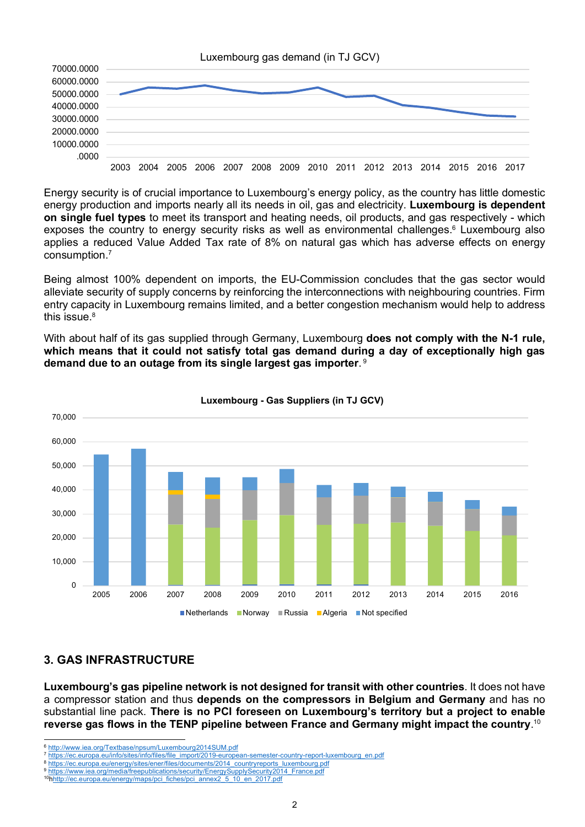

Energy security is of crucial importance to Luxembourg's energy policy, as the country has little domestic energy production and imports nearly all its needs in oil, gas and electricity. **Luxembourg is dependent on single fuel types** to meet its transport and heating needs, oil products, and gas respectively - which exposes the country to energy security risks as well as environmental challenges.<sup>6</sup> Luxembourg also applies a reduced Value Added Tax rate of 8% on natural gas which has adverse effects on energy consumption. 7

Being almost 100% dependent on imports, the EU-Commission concludes that the gas sector would alleviate security of supply concerns by reinforcing the interconnections with neighbouring countries. Firm entry capacity in Luxembourg remains limited, and a better congestion mechanism would help to address this issue.<sup>8</sup>

With about half of its gas supplied through Germany, Luxembourg **does not comply with the N-1 rule, which means that it could not satisfy total gas demand during a day of exceptionally high gas demand due to an outage from its single largest gas importer**. <sup>9</sup>



#### **Luxembourg - Gas Suppliers (in TJ GCV)**

# **3. GAS INFRASTRUCTURE**

**Luxembourg's gas pipeline network is not designed for transit with other countries**. It does not have a compressor station and thus **depends on the compressors in Belgium and Germany** and has no substantial line pack. **There is no PCI foreseen on Luxembourg's territory but a project to enable reverse gas flows in the TENP pipeline between France and Germany might impact the country**. 10

 <sup>6</sup> http://www.iea.org/Textbase/npsum/Luxembourg2014SUM.pdf

https://ec.europa.eu/info/sites/info/files/file\_import/2019-european-semester-country-report-luxembourg\_en.pdf

<sup>8</sup> https://ec.europa.eu/energy/sites/ener/files/documents/2014\_countryreports\_luxembourg.pdf

https://www.iea.org/media/freepublications/security/EnergySupplySecurity2014\_France.pdf

<sup>10</sup>hhttp://ec.europa.eu/energy/maps/pci\_fiches/pci\_annex2\_5\_10\_en\_2017.pdf